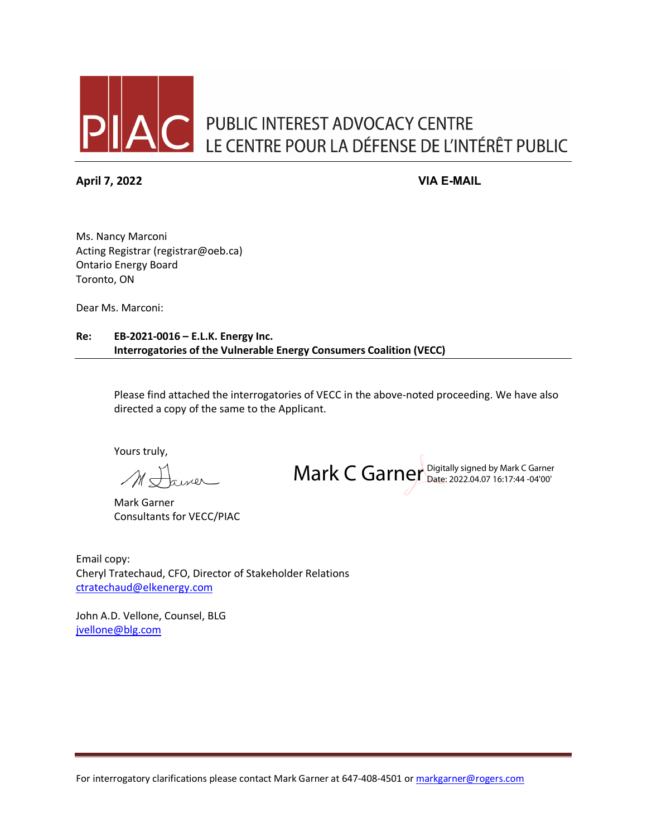

**April 7, 2022 VIA E-MAIL**

Ms. Nancy Marconi Acting Registrar (registrar@oeb.ca) Ontario Energy Board Toronto, ON

Dear Ms. Marconi:

**Re: EB-2021-0016 – E.L.K. Energy Inc. Interrogatories of the Vulnerable Energy Consumers Coalition (VECC)**

> Please find attached the interrogatories of VECC in the above-noted proceeding. We have also directed a copy of the same to the Applicant.

Yours truly,

 $\pi$ iner

Mark Garner Consultants for VECC/PIAC

Mark C Garner Digitally signed by Mark C Garner

Email copy: Cheryl Tratechaud, CFO, Director of Stakeholder Relations [ctratechaud@elkenergy.com](mailto:ctratechaud@elkenergy.com)

John A.D. Vellone, Counsel, BLG [jvellone@blg.com](mailto:jvellone@blg.com)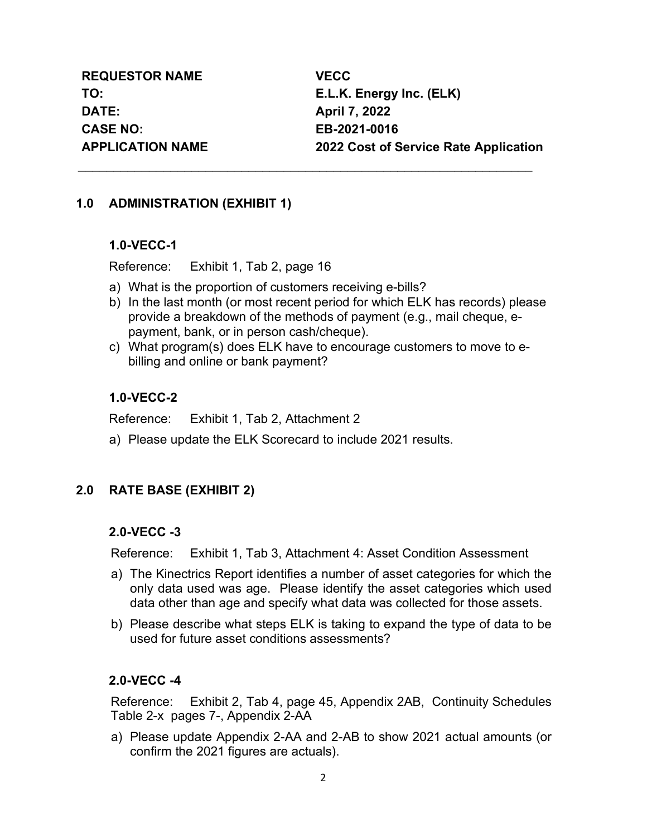**REQUESTOR NAME VECC DATE: April 7, 2022 CASE NO: EB-2021-0016**

**TO: E.L.K. Energy Inc. (ELK) APPLICATION NAME 2022 Cost of Service Rate Application**

### **1.0 ADMINISTRATION (EXHIBIT 1)**

**1.0-VECC-1** 

Reference: Exhibit 1, Tab 2, page 16

- a) What is the proportion of customers receiving e-bills?
- b) In the last month (or most recent period for which ELK has records) please provide a breakdown of the methods of payment (e.g., mail cheque, epayment, bank, or in person cash/cheque).
- c) What program(s) does ELK have to encourage customers to move to ebilling and online or bank payment?

\_\_\_\_\_\_\_\_\_\_\_\_\_\_\_\_\_\_\_\_\_\_\_\_\_\_\_\_\_\_\_\_\_\_\_\_\_\_\_\_\_\_\_\_\_\_\_\_\_\_\_\_\_\_\_\_\_\_\_\_\_\_\_\_

### **1.0-VECC-2**

Reference: Exhibit 1, Tab 2, Attachment 2

a) Please update the ELK Scorecard to include 2021 results.

## **2.0 RATE BASE (EXHIBIT 2)**

### **2.0-VECC -3**

Reference: Exhibit 1, Tab 3, Attachment 4: Asset Condition Assessment

- a) The Kinectrics Report identifies a number of asset categories for which the only data used was age. Please identify the asset categories which used data other than age and specify what data was collected for those assets.
- b) Please describe what steps ELK is taking to expand the type of data to be used for future asset conditions assessments?

### **2.0-VECC -4**

Reference: Exhibit 2, Tab 4, page 45, Appendix 2AB, Continuity Schedules Table 2-x pages 7-, Appendix 2-AA

a) Please update Appendix 2-AA and 2-AB to show 2021 actual amounts (or confirm the 2021 figures are actuals).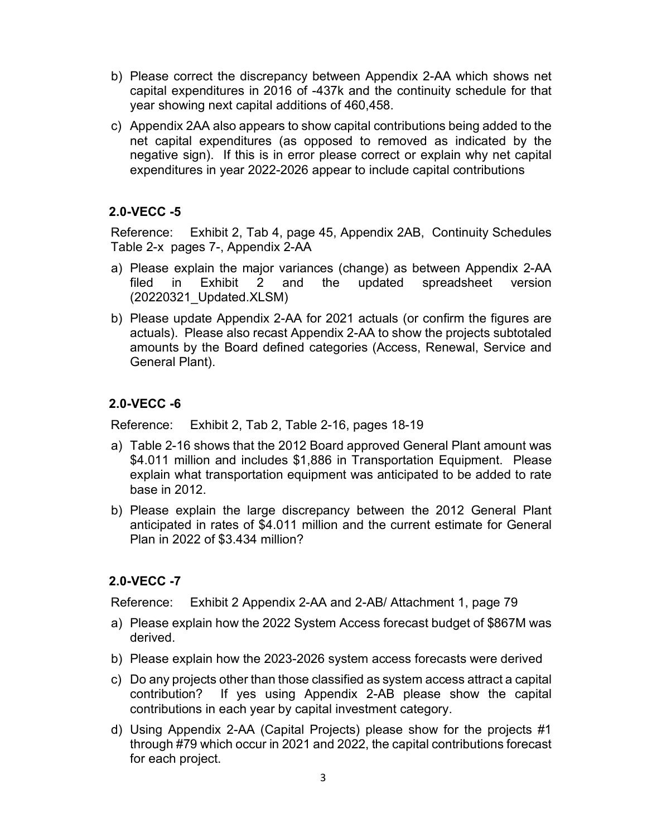- b) Please correct the discrepancy between Appendix 2-AA which shows net capital expenditures in 2016 of -437k and the continuity schedule for that year showing next capital additions of 460,458.
- c) Appendix 2AA also appears to show capital contributions being added to the net capital expenditures (as opposed to removed as indicated by the negative sign). If this is in error please correct or explain why net capital expenditures in year 2022-2026 appear to include capital contributions

Reference: Exhibit 2, Tab 4, page 45, Appendix 2AB, Continuity Schedules Table 2-x pages 7-, Appendix 2-AA

- a) Please explain the major variances (change) as between Appendix 2-AA filed in Exhibit 2 and the updated spreadsheet version (20220321\_Updated.XLSM)
- b) Please update Appendix 2-AA for 2021 actuals (or confirm the figures are actuals). Please also recast Appendix 2-AA to show the projects subtotaled amounts by the Board defined categories (Access, Renewal, Service and General Plant).

### **2.0-VECC -6**

Reference: Exhibit 2, Tab 2, Table 2-16, pages 18-19

- a) Table 2-16 shows that the 2012 Board approved General Plant amount was \$4.011 million and includes \$1,886 in Transportation Equipment. Please explain what transportation equipment was anticipated to be added to rate base in 2012.
- b) Please explain the large discrepancy between the 2012 General Plant anticipated in rates of \$4.011 million and the current estimate for General Plan in 2022 of \$3.434 million?

### **2.0-VECC -7**

Reference: Exhibit 2 Appendix 2-AA and 2-AB/ Attachment 1, page 79

- a) Please explain how the 2022 System Access forecast budget of \$867M was derived.
- b) Please explain how the 2023-2026 system access forecasts were derived
- c) Do any projects other than those classified as system access attract a capital contribution? If yes using Appendix 2-AB please show the capital contributions in each year by capital investment category.
- d) Using Appendix 2-AA (Capital Projects) please show for the projects #1 through #79 which occur in 2021 and 2022, the capital contributions forecast for each project.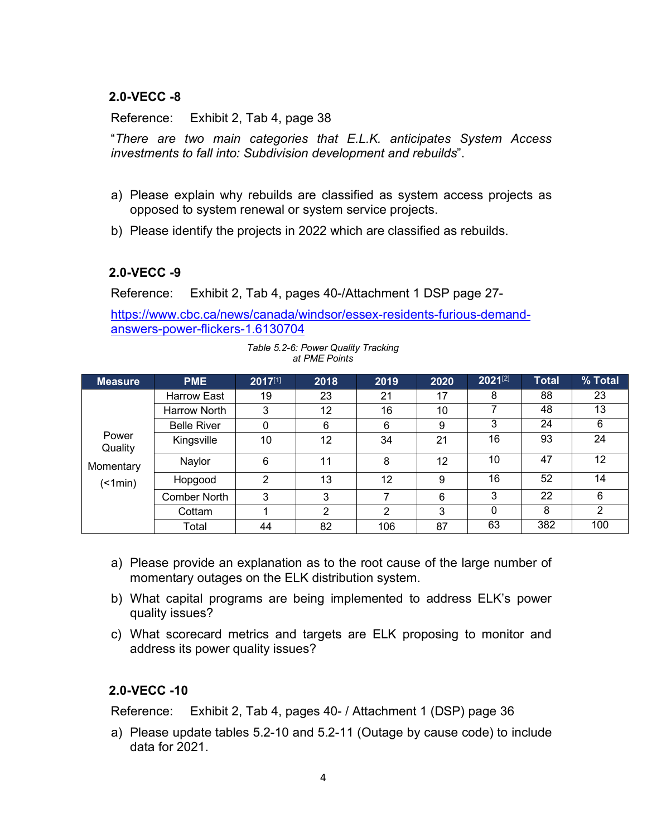Reference: Exhibit 2, Tab 4, page 38

"*There are two main categories that E.L.K. anticipates System Access investments to fall into: Subdivision development and rebuilds*".

- a) Please explain why rebuilds are classified as system access projects as opposed to system renewal or system service projects.
- b) Please identify the projects in 2022 which are classified as rebuilds.

### **2.0-VECC -9**

Reference: Exhibit 2, Tab 4, pages 40-/Attachment 1 DSP page 27-

[https://www.cbc.ca/news/canada/windsor/essex-residents-furious-demand](https://www.cbc.ca/news/canada/windsor/essex-residents-furious-demand-answers-power-flickers-1.6130704)[answers-power-flickers-1.6130704](https://www.cbc.ca/news/canada/windsor/essex-residents-furious-demand-answers-power-flickers-1.6130704)

> *Table 5.2-6: Power Quality Tracking at PME Points*

| <b>Measure</b>                     | <b>PME</b>         | $2017^{[1]}$ | 2018 | 2019 | 2020 | $2021^{[2]}$ | <b>Total</b> | % Total |
|------------------------------------|--------------------|--------------|------|------|------|--------------|--------------|---------|
| Power<br>Quality<br>Momentary<br>( | <b>Harrow East</b> | 19           | 23   | 21   | 17   | 8            | 88           | 23      |
|                                    | Harrow North       | 3            | 12   | 16   | 10   |              | 48           | 13      |
|                                    | <b>Belle River</b> | 0            | 6    | 6    | 9    | 3            | 24           | 6       |
|                                    | Kingsville         | 10           | 12   | 34   | 21   | 16           | 93           | 24      |
|                                    | Naylor             | 6            | 11   | 8    | 12   | 10           | 47           | 12      |
|                                    | Hopgood            | າ            | 13   | 12   | 9    | 16           | 52           | 14      |
|                                    | Comber North       | 3            | 3    | 7    | 6    | 3            | 22           | 6       |
|                                    | Cottam             |              | 2    | າ    | 3    | 0            | 8            | 2       |
|                                    | Total              | 44           | 82   | 106  | 87   | 63           | 382          | 100     |

- a) Please provide an explanation as to the root cause of the large number of momentary outages on the ELK distribution system.
- b) What capital programs are being implemented to address ELK's power quality issues?
- c) What scorecard metrics and targets are ELK proposing to monitor and address its power quality issues?

### **2.0-VECC -10**

Reference: Exhibit 2, Tab 4, pages 40- / Attachment 1 (DSP) page 36

a) Please update tables 5.2-10 and 5.2-11 (Outage by cause code) to include data for 2021.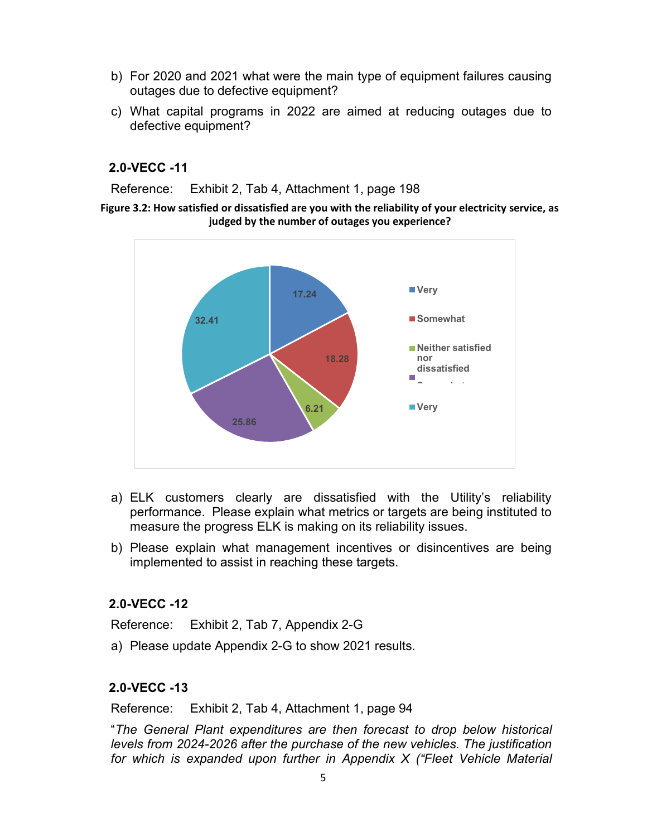- b) For 2020 and 2021 what were the main type of equipment failures causing outages due to defective equipment?
- c) What capital programs in 2022 are aimed at reducing outages due to defective equipment?

Reference: Exhibit 2, Tab 4, Attachment 1, page 198

#### **Figure 3.2: How satisfied or dissatisfied are you with the reliability of your electricity service, as judged by the number of outages you experience?**



- a) ELK customers clearly are dissatisfied with the Utility's reliability performance. Please explain what metrics or targets are being instituted to measure the progress ELK is making on its reliability issues.
- b) Please explain what management incentives or disincentives are being implemented to assist in reaching these targets.

#### **2.0-VECC -12**

Reference: Exhibit 2, Tab 7, Appendix 2-G

a) Please update Appendix 2-G to show 2021 results.

### **2.0-VECC -13**

Reference: Exhibit 2, Tab 4, Attachment 1, page 94

"*The General Plant expenditures are then forecast to drop below historical levels from 2024-2026 after the purchase of the new vehicles. The justification for which is expanded upon further in Appendix X ("Fleet Vehicle Material*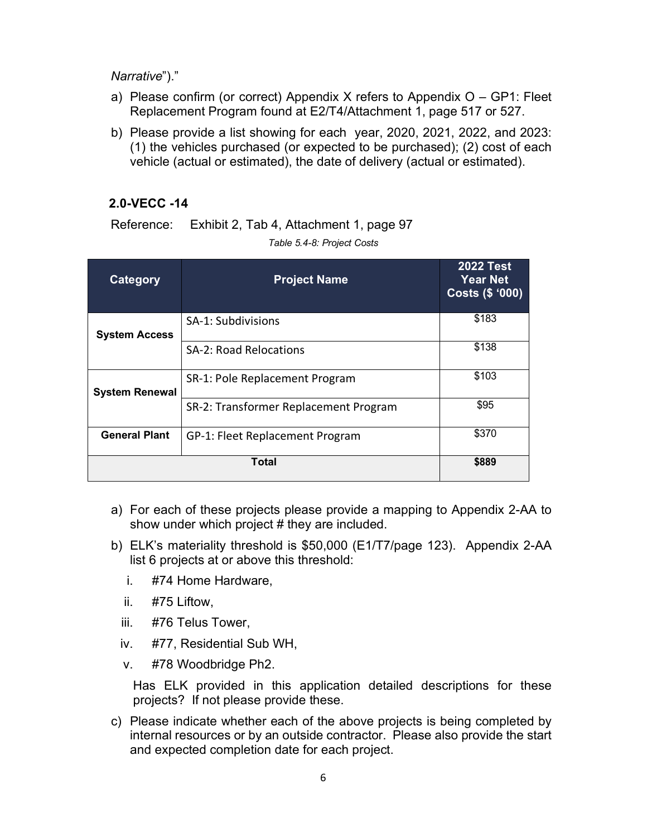#### *Narrative*")."

- a) Please confirm (or correct) Appendix X refers to Appendix  $O GP1$ : Fleet Replacement Program found at E2/T4/Attachment 1, page 517 or 527.
- b) Please provide a list showing for each year, 2020, 2021, 2022, and 2023: (1) the vehicles purchased (or expected to be purchased); (2) cost of each vehicle (actual or estimated), the date of delivery (actual or estimated).

### **2.0-VECC -14**

Reference: Exhibit 2, Tab 4, Attachment 1, page 97

*Table 5.4-8: Project Costs*

| <b>Category</b>       | <b>Project Name</b>                   | <b>2022 Test</b><br><b>Year Net</b><br>Costs (\$ '000) |
|-----------------------|---------------------------------------|--------------------------------------------------------|
| <b>System Access</b>  | SA-1: Subdivisions                    | \$183                                                  |
|                       | <b>SA-2: Road Relocations</b>         | \$138                                                  |
| <b>System Renewal</b> | SR-1: Pole Replacement Program        | \$103                                                  |
|                       | SR-2: Transformer Replacement Program | \$95                                                   |
| <b>General Plant</b>  | GP-1: Fleet Replacement Program       | \$370                                                  |
|                       | \$889                                 |                                                        |

- a) For each of these projects please provide a mapping to Appendix 2-AA to show under which project # they are included.
- b) ELK's materiality threshold is \$50,000 (E1/T7/page 123). Appendix 2-AA list 6 projects at or above this threshold:
	- i. #74 Home Hardware,
	- ii. #75 Liftow,
	- iii. #76 Telus Tower,
	- iv. #77, Residential Sub WH,
	- v. #78 Woodbridge Ph2.

Has ELK provided in this application detailed descriptions for these projects? If not please provide these.

c) Please indicate whether each of the above projects is being completed by internal resources or by an outside contractor. Please also provide the start and expected completion date for each project.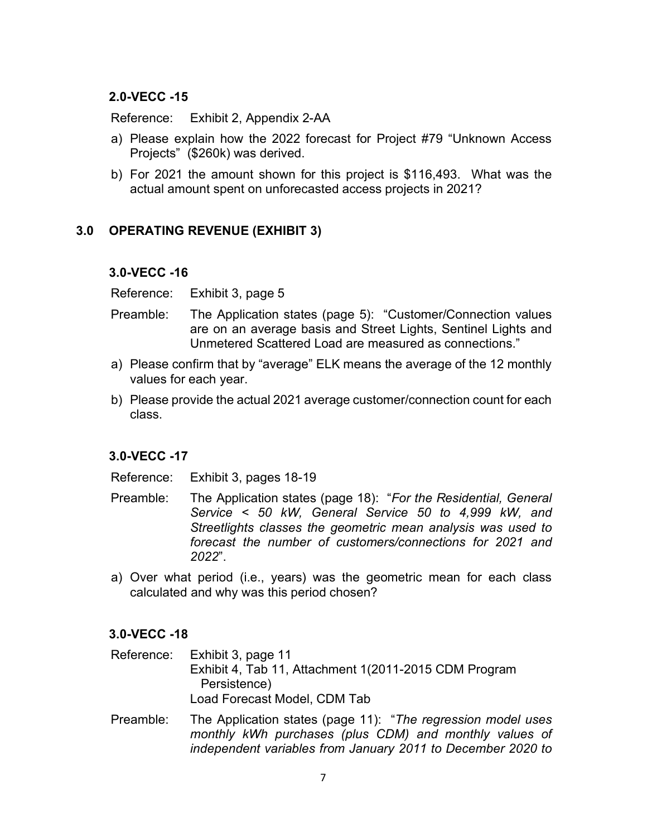Reference: Exhibit 2, Appendix 2-AA

- a) Please explain how the 2022 forecast for Project #79 "Unknown Access Projects" (\$260k) was derived.
- b) For 2021 the amount shown for this project is \$116,493. What was the actual amount spent on unforecasted access projects in 2021?

### **3.0 OPERATING REVENUE (EXHIBIT 3)**

### **3.0-VECC -16**

Reference: Exhibit 3, page 5

- Preamble: The Application states (page 5): "Customer/Connection values are on an average basis and Street Lights, Sentinel Lights and Unmetered Scattered Load are measured as connections."
- a) Please confirm that by "average" ELK means the average of the 12 monthly values for each year.
- b) Please provide the actual 2021 average customer/connection count for each class.

### **3.0-VECC -17**

Reference: Exhibit 3, pages 18-19

- Preamble: The Application states (page 18): "*For the Residential, General Service < 50 kW, General Service 50 to 4,999 kW, and Streetlights classes the geometric mean analysis was used to forecast the number of customers/connections for 2021 and 2022*".
- a) Over what period (i.e., years) was the geometric mean for each class calculated and why was this period chosen?

### **3.0-VECC -18**

Reference: Exhibit 3, page 11 Exhibit 4, Tab 11, Attachment 1(2011-2015 CDM Program Persistence) Load Forecast Model, CDM Tab

Preamble: The Application states (page 11): "*The regression model uses monthly kWh purchases (plus CDM) and monthly values of independent variables from January 2011 to December 2020 to*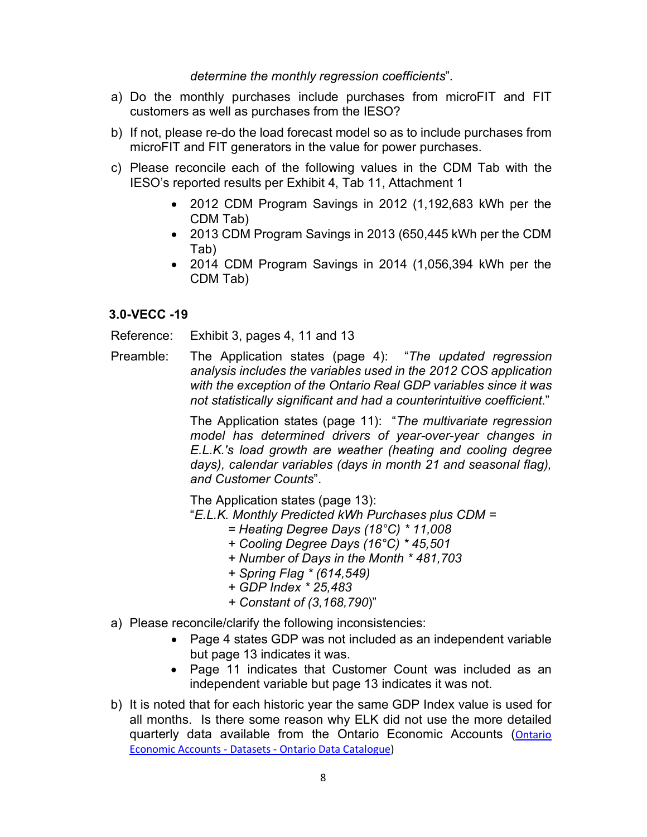#### *determine the monthly regression coefficients*".

- a) Do the monthly purchases include purchases from microFIT and FIT customers as well as purchases from the IESO?
- b) If not, please re-do the load forecast model so as to include purchases from microFIT and FIT generators in the value for power purchases.
- c) Please reconcile each of the following values in the CDM Tab with the IESO's reported results per Exhibit 4, Tab 11, Attachment 1
	- 2012 CDM Program Savings in 2012 (1,192,683 kWh per the CDM Tab)
	- 2013 CDM Program Savings in 2013 (650,445 kWh per the CDM Tab)
	- 2014 CDM Program Savings in 2014 (1,056,394 kWh per the CDM Tab)

### **3.0-VECC -19**

Reference: Exhibit 3, pages 4, 11 and 13

Preamble: The Application states (page 4): "*The updated regression analysis includes the variables used in the 2012 COS application with the exception of the Ontario Real GDP variables since it was not statistically significant and had a counterintuitive coefficient*."

> The Application states (page 11): "*The multivariate regression model has determined drivers of year-over-year changes in E.L.K.'s load growth are weather (heating and cooling degree days), calendar variables (days in month 21 and seasonal flag), and Customer Counts*".

The Application states (page 13):

"*E.L.K. Monthly Predicted kWh Purchases plus CDM =* 

- *= Heating Degree Days (18°C) \* 11,008*
- *+ Cooling Degree Days (16°C) \* 45,501*
- *+ Number of Days in the Month \* 481,703*
- *+ Spring Flag \* (614,549)*
- *+ GDP Index \* 25,483*
- *+ Constant of (3,168,790*)"
- a) Please reconcile/clarify the following inconsistencies:
	- Page 4 states GDP was not included as an independent variable but page 13 indicates it was.
	- Page 11 indicates that Customer Count was included as an independent variable but page 13 indicates it was not.
- b) It is noted that for each historic year the same GDP Index value is used for all months. Is there some reason why ELK did not use the more detailed quarterly data available from the Ontario Economic Accounts ([Ontario](https://data.ontario.ca/dataset/ontario-economic-accounts)  [Economic Accounts - Datasets - Ontario Data Catalogue\)](https://data.ontario.ca/dataset/ontario-economic-accounts)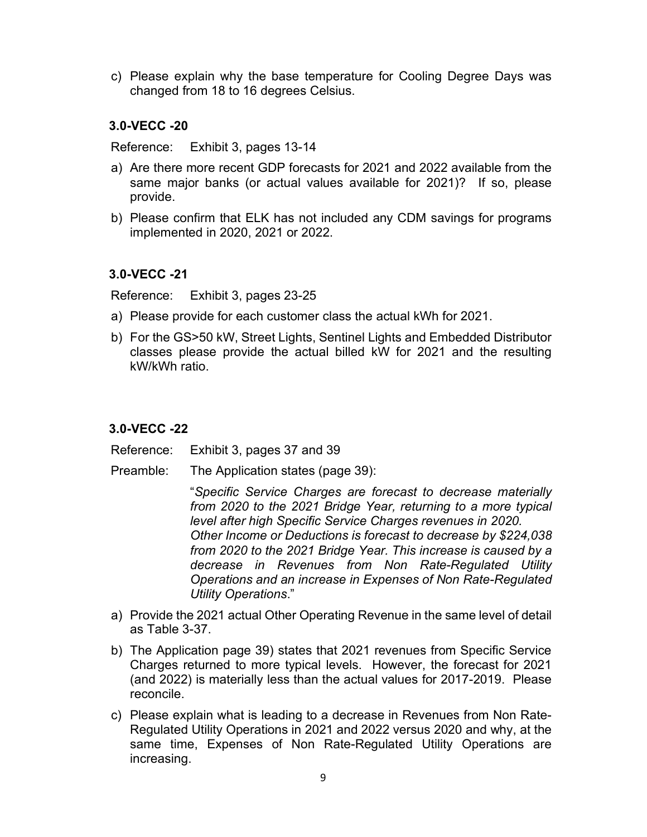c) Please explain why the base temperature for Cooling Degree Days was changed from 18 to 16 degrees Celsius.

### **3.0-VECC -20**

Reference: Exhibit 3, pages 13-14

- a) Are there more recent GDP forecasts for 2021 and 2022 available from the same major banks (or actual values available for 2021)? If so, please provide.
- b) Please confirm that ELK has not included any CDM savings for programs implemented in 2020, 2021 or 2022.

### **3.0-VECC -21**

Reference: Exhibit 3, pages 23-25

- a) Please provide for each customer class the actual kWh for 2021.
- b) For the GS>50 kW, Street Lights, Sentinel Lights and Embedded Distributor classes please provide the actual billed kW for 2021 and the resulting kW/kWh ratio.

### **3.0-VECC -22**

Reference: Exhibit 3, pages 37 and 39

Preamble: The Application states (page 39):

"*Specific Service Charges are forecast to decrease materially from 2020 to the 2021 Bridge Year, returning to a more typical level after high Specific Service Charges revenues in 2020. Other Income or Deductions is forecast to decrease by \$224,038 from 2020 to the 2021 Bridge Year. This increase is caused by a decrease in Revenues from Non Rate-Regulated Utility Operations and an increase in Expenses of Non Rate-Regulated Utility Operations*."

- a) Provide the 2021 actual Other Operating Revenue in the same level of detail as Table 3-37.
- b) The Application page 39) states that 2021 revenues from Specific Service Charges returned to more typical levels. However, the forecast for 2021 (and 2022) is materially less than the actual values for 2017-2019. Please reconcile.
- c) Please explain what is leading to a decrease in Revenues from Non Rate-Regulated Utility Operations in 2021 and 2022 versus 2020 and why, at the same time, Expenses of Non Rate-Regulated Utility Operations are increasing.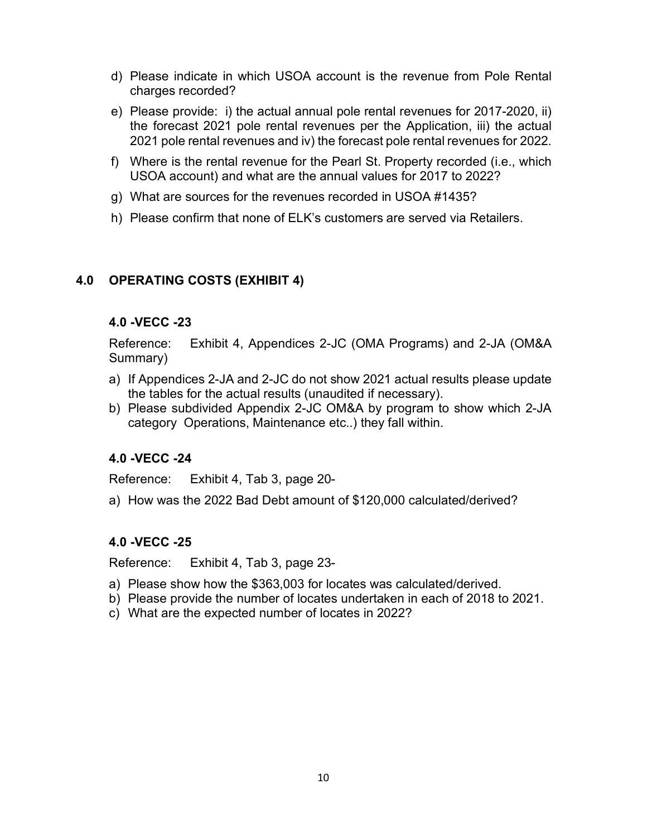- d) Please indicate in which USOA account is the revenue from Pole Rental charges recorded?
- e) Please provide: i) the actual annual pole rental revenues for 2017-2020, ii) the forecast 2021 pole rental revenues per the Application, iii) the actual 2021 pole rental revenues and iv) the forecast pole rental revenues for 2022.
- f) Where is the rental revenue for the Pearl St. Property recorded (i.e., which USOA account) and what are the annual values for 2017 to 2022?
- g) What are sources for the revenues recorded in USOA #1435?
- h) Please confirm that none of ELK's customers are served via Retailers.

## **4.0 OPERATING COSTS (EXHIBIT 4)**

### **4.0 -VECC -23**

Reference: Exhibit 4, Appendices 2-JC (OMA Programs) and 2-JA (OM&A Summary)

- a) If Appendices 2-JA and 2-JC do not show 2021 actual results please update the tables for the actual results (unaudited if necessary).
- b) Please subdivided Appendix 2-JC OM&A by program to show which 2-JA category Operations, Maintenance etc..) they fall within.

### **4.0 -VECC -24**

Reference: Exhibit 4, Tab 3, page 20-

a) How was the 2022 Bad Debt amount of \$120,000 calculated/derived?

### **4.0 -VECC -25**

Reference: Exhibit 4, Tab 3, page 23-

- a) Please show how the \$363,003 for locates was calculated/derived.
- b) Please provide the number of locates undertaken in each of 2018 to 2021.
- c) What are the expected number of locates in 2022?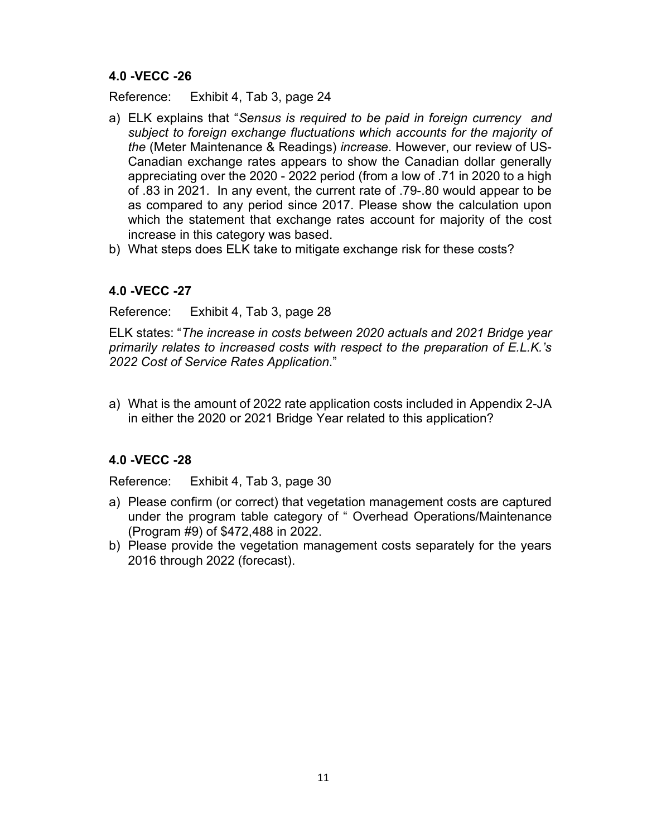Reference: Exhibit 4, Tab 3, page 24

- a) ELK explains that "*Sensus is required to be paid in foreign currency and subject to foreign exchange fluctuations which accounts for the majority of the* (Meter Maintenance & Readings) *increase*. However, our review of US-Canadian exchange rates appears to show the Canadian dollar generally appreciating over the 2020 - 2022 period (from a low of .71 in 2020 to a high of .83 in 2021. In any event, the current rate of .79-.80 would appear to be as compared to any period since 2017. Please show the calculation upon which the statement that exchange rates account for majority of the cost increase in this category was based.
- b) What steps does ELK take to mitigate exchange risk for these costs?

### **4.0 -VECC -27**

Reference: Exhibit 4, Tab 3, page 28

ELK states: "*The increase in costs between 2020 actuals and 2021 Bridge year primarily relates to increased costs with respect to the preparation of E.L.K.'s 2022 Cost of Service Rates Application*."

a) What is the amount of 2022 rate application costs included in Appendix 2-JA in either the 2020 or 2021 Bridge Year related to this application?

## **4.0 -VECC -28**

Reference: Exhibit 4, Tab 3, page 30

- a) Please confirm (or correct) that vegetation management costs are captured under the program table category of " Overhead Operations/Maintenance (Program #9) of \$472,488 in 2022.
- b) Please provide the vegetation management costs separately for the years 2016 through 2022 (forecast).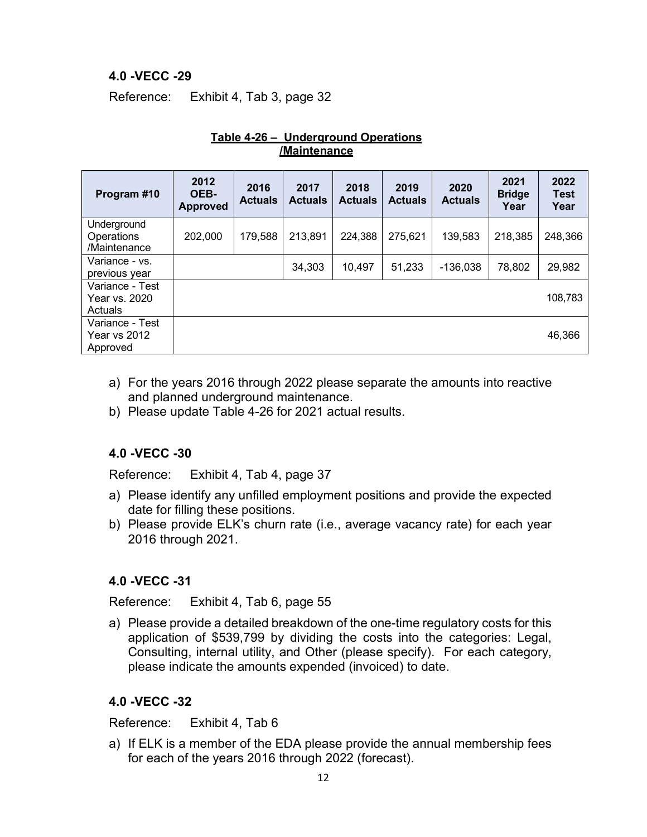Reference: Exhibit 4, Tab 3, page 32

| Program #10                                        | 2012<br>OEB-<br><b>Approved</b> | 2016<br><b>Actuals</b> | 2017<br><b>Actuals</b> | 2018<br><b>Actuals</b> | 2019<br><b>Actuals</b> | 2020<br><b>Actuals</b> | 2021<br><b>Bridge</b><br>Year | 2022<br><b>Test</b><br>Year |
|----------------------------------------------------|---------------------------------|------------------------|------------------------|------------------------|------------------------|------------------------|-------------------------------|-----------------------------|
| Underground<br>Operations<br>/Maintenance          | 202,000                         | 179,588                | 213,891                | 224,388                | 275,621                | 139,583                | 218,385                       | 248,366                     |
| Variance - vs.<br>previous year                    |                                 |                        | 34,303                 | 10,497                 | 51,233                 | -136.038               | 78,802                        | 29,982                      |
| Variance - Test<br>Year vs. 2020<br>Actuals        |                                 |                        |                        |                        |                        |                        |                               | 108,783                     |
| Variance - Test<br><b>Year vs 2012</b><br>Approved |                                 |                        |                        |                        |                        |                        |                               | 46,366                      |

#### **Table 4-26 – Underground Operations /Maintenance**

- a) For the years 2016 through 2022 please separate the amounts into reactive and planned underground maintenance.
- b) Please update Table 4-26 for 2021 actual results.

## **4.0 -VECC -30**

Reference: Exhibit 4, Tab 4, page 37

- a) Please identify any unfilled employment positions and provide the expected date for filling these positions.
- b) Please provide ELK's churn rate (i.e., average vacancy rate) for each year 2016 through 2021.

## **4.0 -VECC -31**

Reference: Exhibit 4, Tab 6, page 55

a) Please provide a detailed breakdown of the one-time regulatory costs for this application of \$539,799 by dividing the costs into the categories: Legal, Consulting, internal utility, and Other (please specify). For each category, please indicate the amounts expended (invoiced) to date.

### **4.0 -VECC -32**

Reference: Exhibit 4, Tab 6

a) If ELK is a member of the EDA please provide the annual membership fees for each of the years 2016 through 2022 (forecast).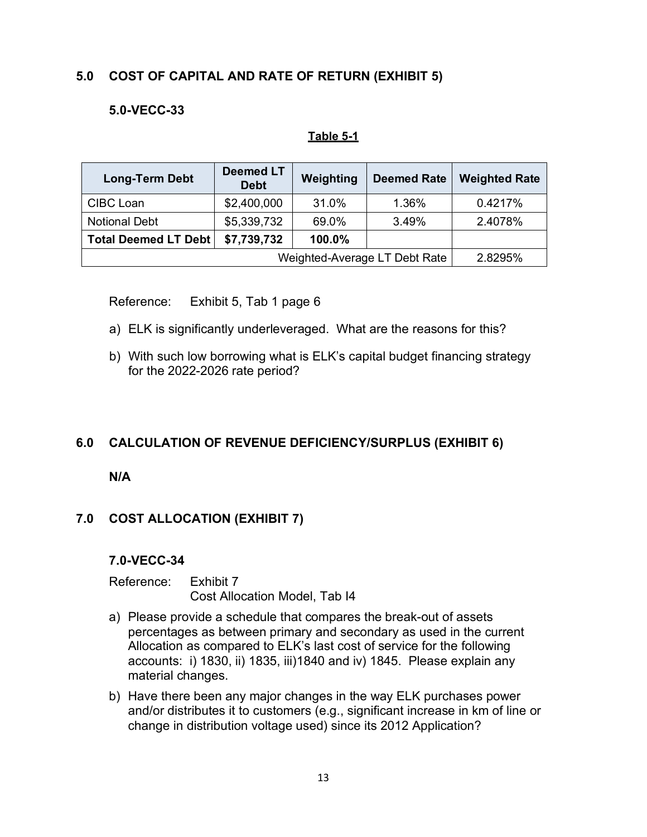# **5.0 COST OF CAPITAL AND RATE OF RETURN (EXHIBIT 5)**

## **5.0-VECC-33**

#### **Table 5-1**

| <b>Long-Term Debt</b>       | <b>Deemed LT</b><br><b>Debt</b> | Weighting | <b>Deemed Rate</b> | <b>Weighted Rate</b> |  |
|-----------------------------|---------------------------------|-----------|--------------------|----------------------|--|
| CIBC Loan                   | \$2,400,000                     | 31.0%     | 1.36%              | 0.4217%              |  |
| <b>Notional Debt</b>        | \$5,339,732                     | 69.0%     | 3.49%              | 2.4078%              |  |
| <b>Total Deemed LT Debt</b> | \$7,739,732                     | 100.0%    |                    |                      |  |
|                             | 2.8295%                         |           |                    |                      |  |

Reference: Exhibit 5, Tab 1 page 6

- a) ELK is significantly underleveraged. What are the reasons for this?
- b) With such low borrowing what is ELK's capital budget financing strategy for the 2022-2026 rate period?

### **6.0 CALCULATION OF REVENUE DEFICIENCY/SURPLUS (EXHIBIT 6)**

**N/A**

### **7.0 COST ALLOCATION (EXHIBIT 7)**

#### **7.0-VECC-34**

Reference: Exhibit 7 Cost Allocation Model, Tab I4

- a) Please provide a schedule that compares the break-out of assets percentages as between primary and secondary as used in the current Allocation as compared to ELK's last cost of service for the following accounts: i) 1830, ii) 1835, iii)1840 and iv) 1845. Please explain any material changes.
- b) Have there been any major changes in the way ELK purchases power and/or distributes it to customers (e.g., significant increase in km of line or change in distribution voltage used) since its 2012 Application?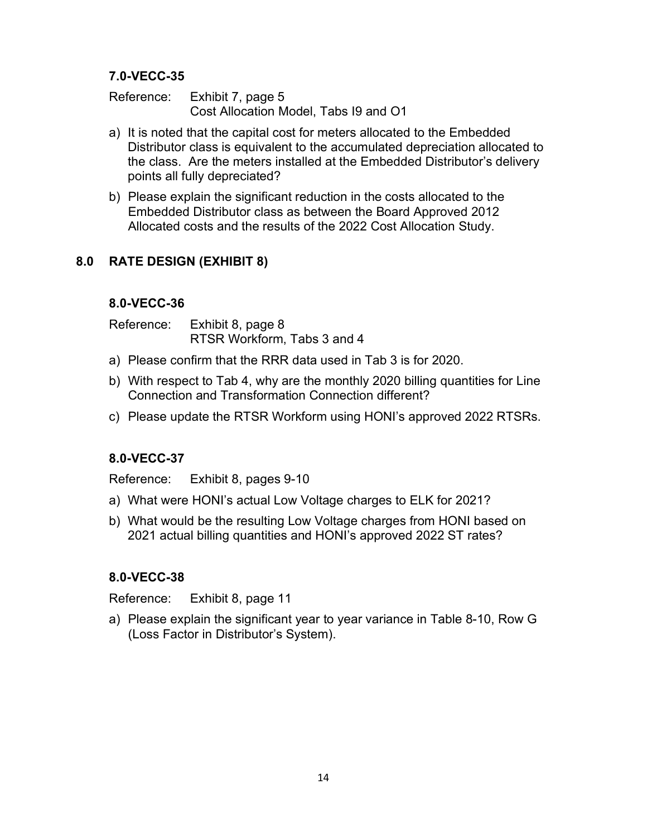Reference: Exhibit 7, page 5 Cost Allocation Model, Tabs I9 and O1

- a) It is noted that the capital cost for meters allocated to the Embedded Distributor class is equivalent to the accumulated depreciation allocated to the class. Are the meters installed at the Embedded Distributor's delivery points all fully depreciated?
- b) Please explain the significant reduction in the costs allocated to the Embedded Distributor class as between the Board Approved 2012 Allocated costs and the results of the 2022 Cost Allocation Study.

### **8.0 RATE DESIGN (EXHIBIT 8)**

### **8.0-VECC-36**

Reference: Exhibit 8, page 8 RTSR Workform, Tabs 3 and 4

- a) Please confirm that the RRR data used in Tab 3 is for 2020.
- b) With respect to Tab 4, why are the monthly 2020 billing quantities for Line Connection and Transformation Connection different?
- c) Please update the RTSR Workform using HONI's approved 2022 RTSRs.

### **8.0-VECC-37**

Reference: Exhibit 8, pages 9-10

- a) What were HONI's actual Low Voltage charges to ELK for 2021?
- b) What would be the resulting Low Voltage charges from HONI based on 2021 actual billing quantities and HONI's approved 2022 ST rates?

### **8.0-VECC-38**

Reference: Exhibit 8, page 11

a) Please explain the significant year to year variance in Table 8-10, Row G (Loss Factor in Distributor's System).